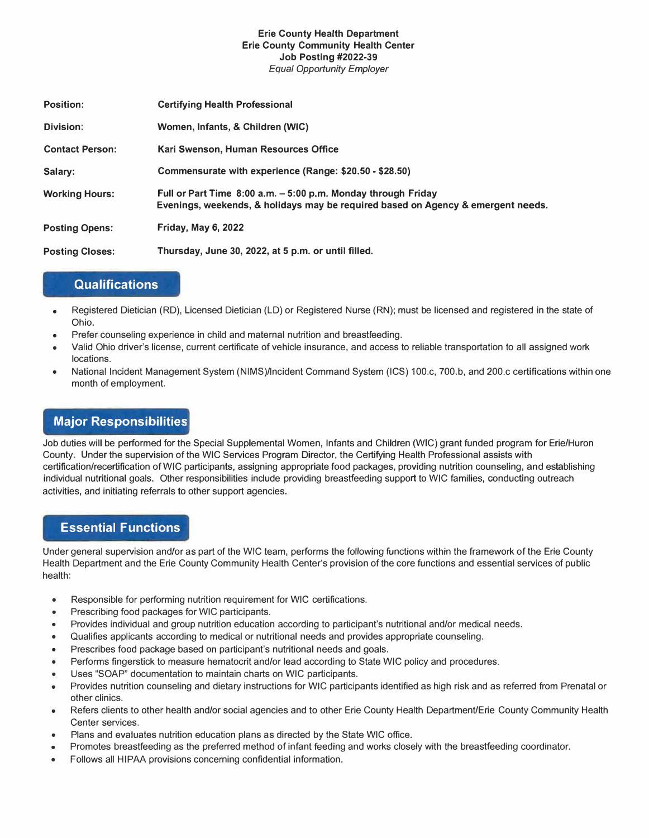#### **Erie County Health Department Erie County Community Health Center Job Posting #2022-39** *Equal Opportunity Employer*

| <b>Position:</b>       | <b>Certifying Health Professional</b>                                                                                                             |
|------------------------|---------------------------------------------------------------------------------------------------------------------------------------------------|
| Division:              | Women, Infants, & Children (WIC)                                                                                                                  |
| <b>Contact Person:</b> | Kari Swenson, Human Resources Office                                                                                                              |
| Salary:                | Commensurate with experience (Range: \$20.50 - \$28.50)                                                                                           |
| <b>Working Hours:</b>  | Full or Part Time 8:00 a.m. – 5:00 p.m. Monday through Friday<br>Evenings, weekends, & holidays may be required based on Agency & emergent needs. |
| <b>Posting Opens:</b>  | <b>Friday, May 6, 2022</b>                                                                                                                        |
| <b>Posting Closes:</b> | Thursday, June 30, 2022, at 5 p.m. or until filled.                                                                                               |

### **Qualifications**

- Registered Dietician (RD), Licensed Dietician (LD) or Registered Nurse (RN); must be licensed and registered in the state of Ohio.
- Prefer counseling experience in child and maternal nutrition and breastfeeding.
- Valid Ohio driver's license, current certificate of vehicle insurance, and access to reliable transportation to all assigned work locations.
- National Incident Management System (NIMS)/lncident Command System (ICS) 100.c, 700.b, and 200.c certifications within one month of employment.

# **Major Responsibilities**

Job duties will be performed for the Special Supplemental Women, Infants and Children (WIC) grant funded program for Erie/Huron County. Under the supervision of the WIC Services Program Director, the Certifying Health Professional assists with certification/recertification of WIC participants, assigning appropriate food packages, providing nutrition counseling, and establishing individual nutritional goals. Other responsibilities include providing breastfeeding support to WIC families, conducting outreach activities, and initiating referrals to other support agencies.

## **Essential Functions**

Under general supervision and/or as part of the WIC team, performs the following functions within the framework of the Erie County Health Department and the Erie County Community Health Center's provision of the core functions and essential services of public health:

- Responsible for performing nutrition requirement for WIC certifications.
- Prescribing food packages for WIC participants.
- Provides individual and group nutrition education according to participant's nutritional and/or medical needs.
- Qualifies applicants according to medical or nutritional needs and provides appropriate counseling.
- Prescribes food package based *on* participant's nutritional needs and goals.
- Performs fingerstick to measure hematocrit and/or lead according to State WIC policy and procedures.
- Uses "SOAP" documentation to maintain charts on WIC participants.
- Provides nutrition counseling and dietary instructions for WIC participants identified as high risk and as referred from Prenatal or other clinics.
- Refers clients to other health and/or social agencies and to other Erie County Health Department/Erie County Community Health Center services.
- Plans and evaluates nutrition education plans as directed by the State WIC office.
- Promotes breastfeeding as the preferred method of infant feeding and works closely with the breastfeeding coordinator.
- Follows all HIPAA provisions concerning confidential information.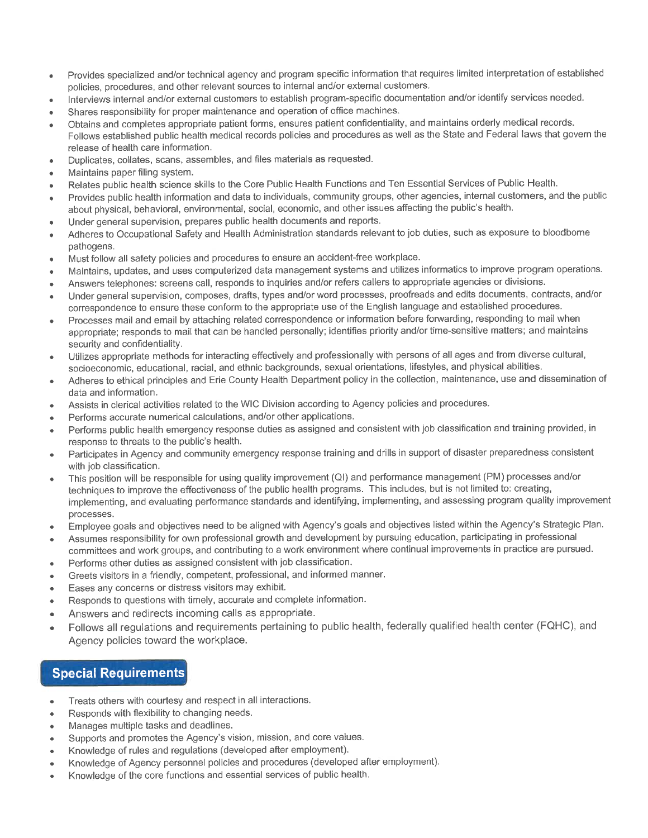- Provides specialized and/or technical agency and program specific information that requires limited interpretation of established policies, procedures, and other relevant sources to internal and/or external customers.
- Interviews internal and/or external customers to establish program-specific documentation and/or identify services needed.
- Shares responsibility for proper maintenance and operation of office machines.
- Obtains and completes appropriate patient forms, ensures patient confidentiality, and maintains orderly medical records. Follows established public health medical records policies and procedures as well as the State and Federal laws that govern the release of health care information.
- Duplicates, collates, scans, assembles, and files materials as requested.  $\bullet$
- Maintains paper filing system.
- Relates public health science skills to the Core Public Health Functions and Ten Essential Services of Public Health.
- Provides public health information and data to individuals, community groups, other agencies, internal customers, and the public about physical, behavioral, environmental, social, economic, and other issues affecting the public's health.
- Under general supervision, prepares public health documents and reports.  $\bullet$
- Adheres to Occupational Safety and Health Administration standards relevant to job duties, such as exposure to bloodborne pathogens.
- Must follow all safety policies and procedures to ensure an accident-free workplace.  $\bullet$
- Maintains, updates, and uses computerized data management systems and utilizes informatics to improve program operations.
- Answers telephones: screens call, responds to inquiries and/or refers callers to appropriate agencies or divisions.  $\blacksquare$
- Under general supervision, composes, drafts, types and/or word processes, proofreads and edits documents, contracts, and/or  $\bullet$ correspondence to ensure these conform to the appropriate use of the English language and established procedures.
- Processes mail and email by attaching related correspondence or information before forwarding, responding to mail when  $\bullet$ appropriate; responds to mail that can be handled personally; identifies priority and/or time-sensitive matters; and maintains security and confidentiality.
- Utilizes appropriate methods for interacting effectively and professionally with persons of all ages and from diverse cultural,  $\bullet$ socioeconomic, educational, racial, and ethnic backgrounds, sexual orientations, lifestyles, and physical abilities.
- Adheres to ethical principles and Erie County Health Department policy in the collection, maintenance, use and dissemination of  $\bullet$ data and information.
- Assists in clerical activities related to the WIC Division according to Agency policies and procedures.
- Performs accurate numerical calculations, and/or other applications.  $\bullet$
- Performs public health emergency response duties as assigned and consistent with job classification and training provided. in response to threats to the public's health.
- Participates in Agency and community emergency response training and drills in support of disaster preparedness consistent  $\bullet$ with job classification.
- This position will be responsible for using quality improvement (QI) and performance management (PM) processes and/or  $\bullet$ techniques to improve the effectiveness of the public health programs. This includes, but is not limited to: creating, implementing, and evaluating performance standards and identifying, implementing, and assessing program quality improvement processes.
- Employee goals and objectives need to be aligned with Agency's goals and objectives listed within the Agency's Strategic Plan.  $\bullet$
- Assumes responsibility for own professional growth and development by pursuing education, participating in professional committees and work groups, and contributing to a work environment where continual improvements in practice are pursued.
- Performs other duties as assigned consistent with job classification.  $\bullet$
- Greets visitors in a friendly, competent, professional, and informed manner.
- Eases any concerns or distress visitors may exhibit.  $\bullet$
- Responds to questions with timely, accurate and complete information.
- Answers and redirects incoming calls as appropriate.  $\bullet$
- Follows all regulations and requirements pertaining to public health, federally qualified health center (FQHC), and Agency policies toward the workplace.

# **Special Requirements**

- Treats others with courtesy and respect in all interactions.  $\bullet$
- Responds with flexibility to changing needs.
- Manages multiple tasks and deadlines.
- Supports and promotes the Agency's vision, mission, and core values.
- Knowledge of rules and regulations (developed after employment).
- Knowledge of Agency personnel policies and procedures (developed after employment).
- Knowledge of the core functions and essential services of public health.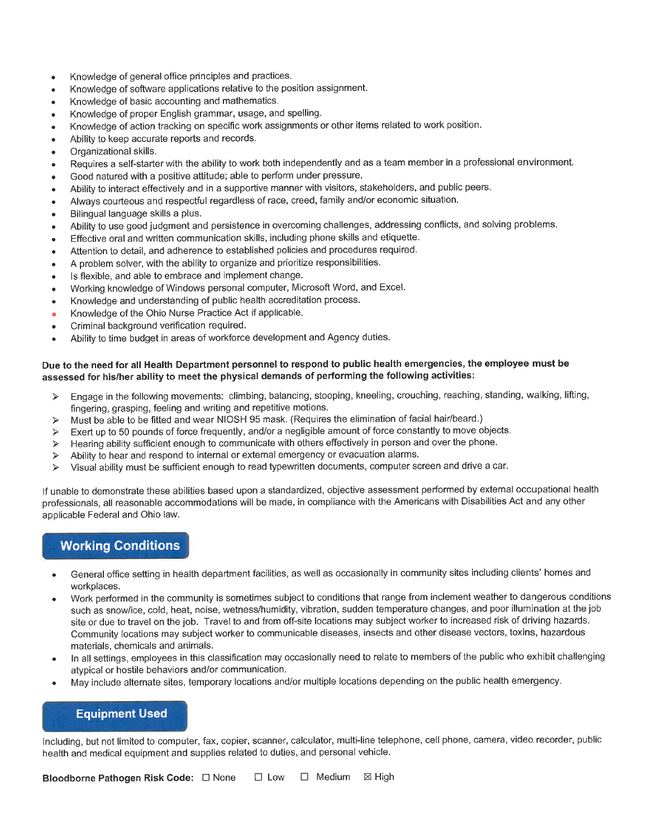- Knowledge of general office principles and practices.  $\bullet$
- Knowledge of software applications relative to the position assignment.
- Knowledge of basic accounting and mathematics.  $\bullet$
- Knowledge of proper English grammar, usage, and spelling.  $\bullet$
- Knowledge of action tracking on specific work assignments or other items related to work position.  $\bullet$
- Ability to keep accurate reports and records.
- Organizational skills.  $\bullet$
- Requires a self-starter with the ability to work both independently and as a team member in a professional environment.
- Good natured with a positive attitude; able to perform under pressure. ٠
- Ability to interact effectively and in a supportive manner with visitors, stakeholders, and public peers.  $\bullet$
- Always courteous and respectful regardless of race, creed, family and/or economic situation.  $\bullet$
- Bilingual language skills a plus.
- Ability to use good judgment and persistence in overcoming challenges, addressing conflicts, and solving problems.  $\bullet$
- Effective oral and written communication skills, including phone skills and etiquette.  $\bullet$
- Attention to detail, and adherence to established policies and procedures required.  $\bullet$
- A problem solver, with the ability to organize and prioritize responsibilities.  $\bullet$
- Is flexible, and able to embrace and implement change.
- Working knowledge of Windows personal computer, Microsoft Word, and Excel.
- Knowledge and understanding of public health accreditation process.
- $\ddot{\phantom{0}}$ Knowledge of the Ohio Nurse Practice Act if applicable.
- Criminal background verification required.
- Ability to time budget in areas of workforce development and Agency duties.

#### Due to the need for all Health Department personnel to respond to public health emergencies, the employee must be assessed for his/her ability to meet the physical demands of performing the following activities:

- Engage in the following movements: climbing, balancing, stooping, kneeling, crouching, reaching, standing, walking, lifting,  $\triangleright$ fingering, grasping, feeling and writing and repetitive motions.
- Must be able to be fitted and wear NIOSH 95 mask. (Requires the elimination of facial hair/beard.)  $\blacktriangleright$
- Exert up to 50 pounds of force frequently, and/or a negligible amount of force constantly to move objects.  $\blacktriangleright$
- Hearing ability sufficient enough to communicate with others effectively in person and over the phone.  $\blacktriangle$
- Ability to hear and respond to internal or external emergency or evacuation alarms.  $\blacktriangleright$
- Visual ability must be sufficient enough to read typewritten documents, computer screen and drive a car. ⋗

If unable to demonstrate these abilities based upon a standardized, objective assessment performed by external occupational health professionals, all reasonable accommodations will be made, in compliance with the Americans with Disabilities Act and any other applicable Federal and Ohio law.

## **Working Conditions**

- General office setting in health department facilities, as well as occasionally in community sites including clients' homes and workplaces.
- Work performed in the community is sometimes subject to conditions that range from inclement weather to dangerous conditions such as snow/ice, cold, heat, noise, wetness/humidity, vibration, sudden temperature changes, and poor illumination at the job site or due to travel on the job. Travel to and from off-site locations may subject worker to increased risk of driving hazards. Community locations may subject worker to communicable diseases, insects and other disease vectors, toxins, hazardous materials, chemicals and animals.
- In all settings, employees in this classification may occasionally need to relate to members of the public who exhibit challenging atypical or hostile behaviors and/or communication.
- May include alternate sites, temporary locations and/or multiple locations depending on the public health emergency.

## **Equipment Used**

Including, but not limited to computer, fax, copier, scanner, calculator, multi-line telephone, cell phone, camera, video recorder, public health and medical equipment and supplies related to duties, and personal vehicle.

□ Low □ Medium 図 High